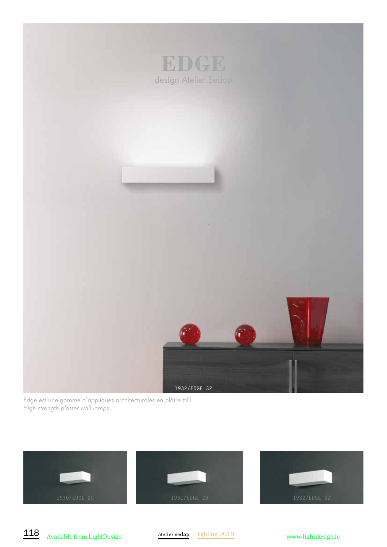

Edge est une gamme d'appliques architecturales en plâtre HD. *High strength plaster wall lamps.*



118 Available from LightDesign atelier sedap lighting 2018 www.lightdesign.ie